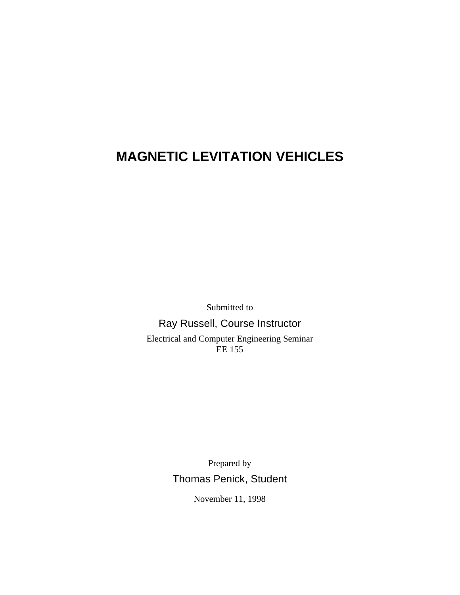# **MAGNETIC LEVITATION VEHICLES**

Submitted to

#### Ray Russell, Course Instructor

Electrical and Computer Engineering Seminar EE 155

> Prepared by Thomas Penick, Student

> > November 11, 1998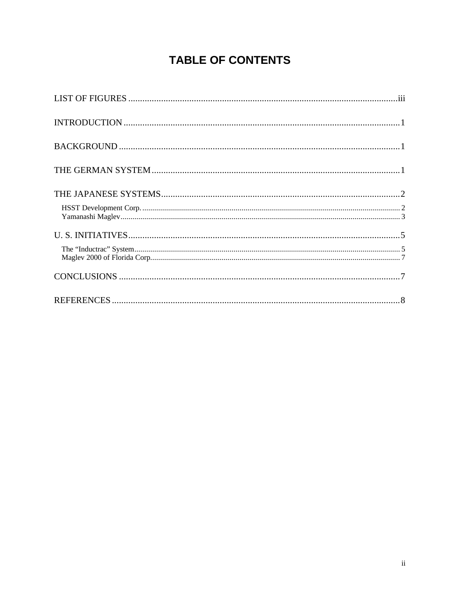## **TABLE OF CONTENTS**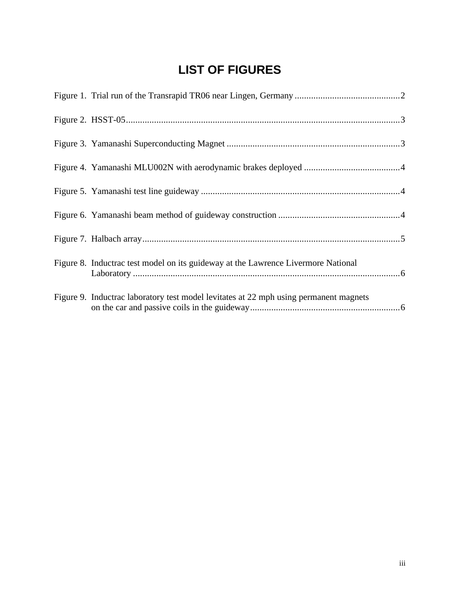## **LIST OF FIGURES**

| Figure 8. Inductrac test model on its guideway at the Lawrence Livermore National     |
|---------------------------------------------------------------------------------------|
| Figure 9. Inductrac laboratory test model levitates at 22 mph using permanent magnets |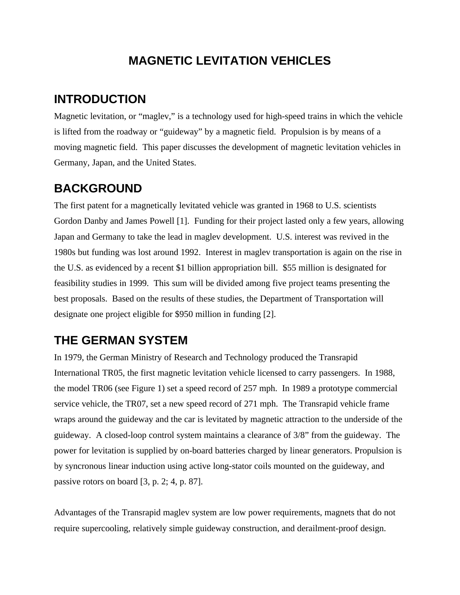### **MAGNETIC LEVITATION VEHICLES**

### **INTRODUCTION**

Magnetic levitation, or "maglev," is a technology used for high-speed trains in which the vehicle is lifted from the roadway or "guideway" by a magnetic field. Propulsion is by means of a moving magnetic field. This paper discusses the development of magnetic levitation vehicles in Germany, Japan, and the United States.

### **BACKGROUND**

The first patent for a magnetically levitated vehicle was granted in 1968 to U.S. scientists Gordon Danby and James Powell [1]. Funding for their project lasted only a few years, allowing Japan and Germany to take the lead in maglev development. U.S. interest was revived in the 1980s but funding was lost around 1992. Interest in maglev transportation is again on the rise in the U.S. as evidenced by a recent \$1 billion appropriation bill. \$55 million is designated for feasibility studies in 1999. This sum will be divided among five project teams presenting the best proposals. Based on the results of these studies, the Department of Transportation will designate one project eligible for \$950 million in funding [2].

### **THE GERMAN SYSTEM**

In 1979, the German Ministry of Research and Technology produced the Transrapid International TR05, the first magnetic levitation vehicle licensed to carry passengers. In 1988, the model TR06 (see Figure 1) set a speed record of 257 mph. In 1989 a prototype commercial service vehicle, the TR07, set a new speed record of 271 mph. The Transrapid vehicle frame wraps around the guideway and the car is levitated by magnetic attraction to the underside of the guideway. A closed-loop control system maintains a clearance of 3/8" from the guideway. The power for levitation is supplied by on-board batteries charged by linear generators. Propulsion is by syncronous linear induction using active long-stator coils mounted on the guideway, and passive rotors on board [3, p. 2; 4, p. 87].

Advantages of the Transrapid maglev system are low power requirements, magnets that do not require supercooling, relatively simple guideway construction, and derailment-proof design.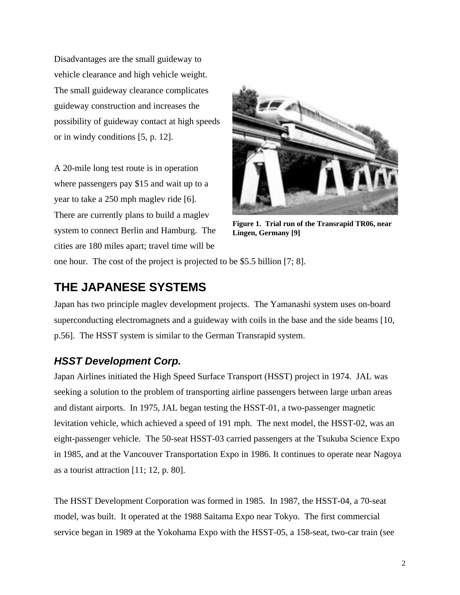Disadvantages are the small guideway to vehicle clearance and high vehicle weight. The small guideway clearance complicates guideway construction and increases the possibility of guideway contact at high speeds or in windy conditions [5, p. 12].

A 20-mile long test route is in operation where passengers pay \$15 and wait up to a year to take a 250 mph maglev ride [6]. There are currently plans to build a maglev system to connect Berlin and Hamburg. The cities are 180 miles apart; travel time will be



**Figure 1. Trial run of the Transrapid TR06, near Lingen, Germany [9]**

one hour. The cost of the project is projected to be \$5.5 billion [7; 8].

### **THE JAPANESE SYSTEMS**

Japan has two principle maglev development projects. The Yamanashi system uses on-board superconducting electromagnets and a guideway with coils in the base and the side beams [10, p.56]. The HSST system is similar to the German Transrapid system.

#### *HSST Development Corp.*

Japan Airlines initiated the High Speed Surface Transport (HSST) project in 1974. JAL was seeking a solution to the problem of transporting airline passengers between large urban areas and distant airports. In 1975, JAL began testing the HSST-01, a two-passenger magnetic levitation vehicle, which achieved a speed of 191 mph. The next model, the HSST-02, was an eight-passenger vehicle. The 50-seat HSST-03 carried passengers at the Tsukuba Science Expo in 1985, and at the Vancouver Transportation Expo in 1986. It continues to operate near Nagoya as a tourist attraction [11; 12, p. 80].

The HSST Development Corporation was formed in 1985. In 1987, the HSST-04, a 70-seat model, was built. It operated at the 1988 Saitama Expo near Tokyo. The first commercial service began in 1989 at the Yokohama Expo with the HSST-05, a 158-seat, two-car train (see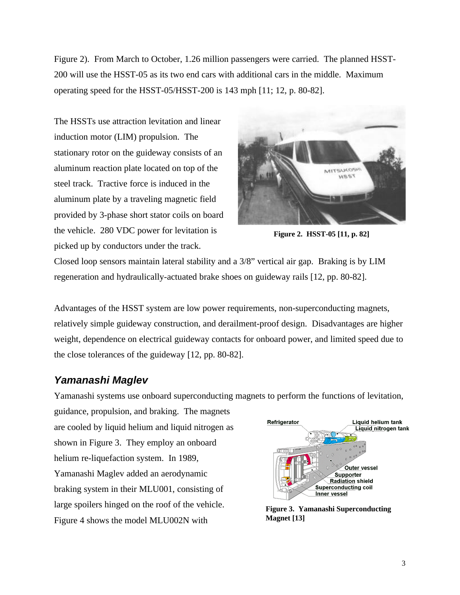Figure 2). From March to October, 1.26 million passengers were carried. The planned HSST-200 will use the HSST-05 as its two end cars with additional cars in the middle. Maximum operating speed for the HSST-05/HSST-200 is 143 mph [11; 12, p. 80-82].

The HSSTs use attraction levitation and linear induction motor (LIM) propulsion. The stationary rotor on the guideway consists of an aluminum reaction plate located on top of the steel track. Tractive force is induced in the aluminum plate by a traveling magnetic field provided by 3-phase short stator coils on board the vehicle. 280 VDC power for levitation is picked up by conductors under the track.



**Figure 2. HSST-05 [11, p. 82]**

Closed loop sensors maintain lateral stability and a 3/8" vertical air gap. Braking is by LIM regeneration and hydraulically-actuated brake shoes on guideway rails [12, pp. 80-82].

Advantages of the HSST system are low power requirements, non-superconducting magnets, relatively simple guideway construction, and derailment-proof design. Disadvantages are higher weight, dependence on electrical guideway contacts for onboard power, and limited speed due to the close tolerances of the guideway [12, pp. 80-82].

#### *Yamanashi Maglev*

Yamanashi systems use onboard superconducting magnets to perform the functions of levitation,

guidance, propulsion, and braking. The magnets are cooled by liquid helium and liquid nitrogen as shown in Figure 3. They employ an onboard helium re-liquefaction system. In 1989, Yamanashi Maglev added an aerodynamic braking system in their MLU001, consisting of large spoilers hinged on the roof of the vehicle. Figure 4 shows the model MLU002N with



**Figure 3. Yamanashi Superconducting Magnet [13]**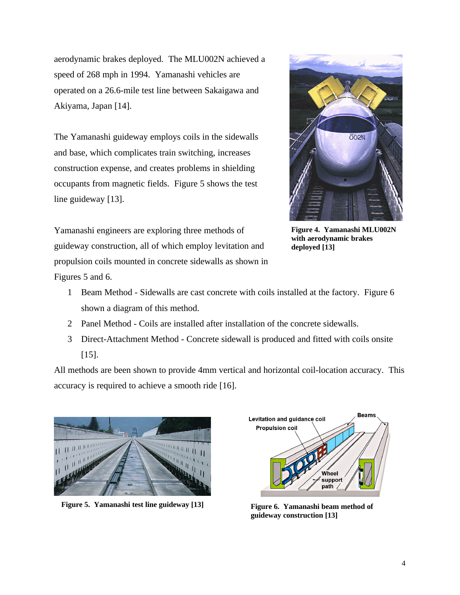aerodynamic brakes deployed. The MLU002N achieved a speed of 268 mph in 1994. Yamanashi vehicles are operated on a 26.6-mile test line between Sakaigawa and Akiyama, Japan [14].

The Yamanashi guideway employs coils in the sidewalls and base, which complicates train switching, increases construction expense, and creates problems in shielding occupants from magnetic fields. Figure 5 shows the test line guideway [13].



**Figure 4. Yamanashi MLU002N with aerodynamic brakes deployed [13]**

Yamanashi engineers are exploring three methods of guideway construction, all of which employ levitation and propulsion coils mounted in concrete sidewalls as shown in

Figures 5 and 6.

- 1 Beam Method Sidewalls are cast concrete with coils installed at the factory. Figure 6 shown a diagram of this method.
- 2 Panel Method Coils are installed after installation of the concrete sidewalls.
- 3 Direct-Attachment Method Concrete sidewall is produced and fitted with coils onsite [15].

All methods are been shown to provide 4mm vertical and horizontal coil-location accuracy. This accuracy is required to achieve a smooth ride [16].



**Figure 5. Yamanashi test line guideway [13] Figure 6. Yamanashi beam method of**



**guideway construction [13]**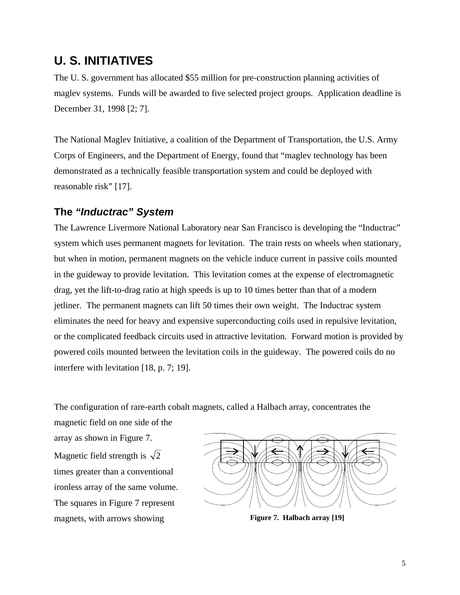#### **U. S. INITIATIVES**

The U. S. government has allocated \$55 million for pre-construction planning activities of maglev systems. Funds will be awarded to five selected project groups. Application deadline is December 31, 1998 [2; 7].

The National Maglev Initiative, a coalition of the Department of Transportation, the U.S. Army Corps of Engineers, and the Department of Energy, found that "maglev technology has been demonstrated as a technically feasible transportation system and could be deployed with reasonable risk" [17].

#### **The** *"Inductrac" System*

The Lawrence Livermore National Laboratory near San Francisco is developing the "Inductrac" system which uses permanent magnets for levitation. The train rests on wheels when stationary, but when in motion, permanent magnets on the vehicle induce current in passive coils mounted in the guideway to provide levitation. This levitation comes at the expense of electromagnetic drag, yet the lift-to-drag ratio at high speeds is up to 10 times better than that of a modern jetliner. The permanent magnets can lift 50 times their own weight. The Inductrac system eliminates the need for heavy and expensive superconducting coils used in repulsive levitation, or the complicated feedback circuits used in attractive levitation. Forward motion is provided by powered coils mounted between the levitation coils in the guideway. The powered coils do no interfere with levitation [18, p. 7; 19].

The configuration of rare-earth cobalt magnets, called a Halbach array, concentrates the

magnetic field on one side of the array as shown in Figure 7. Magnetic field strength is  $\sqrt{2}$ times greater than a conventional ironless array of the same volume. The squares in Figure 7 represent magnets, with arrows showing **Figure 7. Halbach array [19]** 

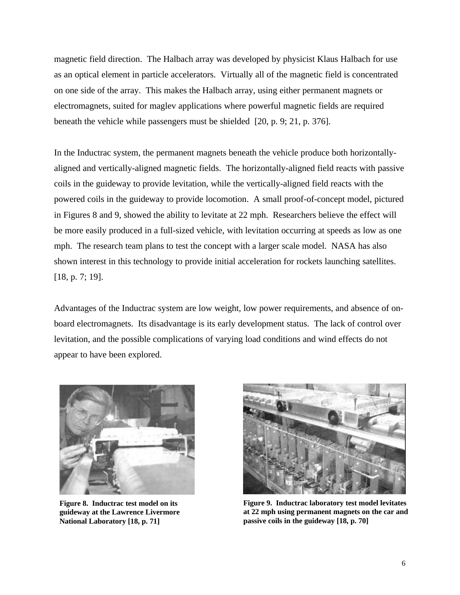magnetic field direction. The Halbach array was developed by physicist Klaus Halbach for use as an optical element in particle accelerators. Virtually all of the magnetic field is concentrated on one side of the array. This makes the Halbach array, using either permanent magnets or electromagnets, suited for maglev applications where powerful magnetic fields are required beneath the vehicle while passengers must be shielded [20, p. 9; 21, p. 376].

In the Inductrac system, the permanent magnets beneath the vehicle produce both horizontallyaligned and vertically-aligned magnetic fields. The horizontally-aligned field reacts with passive coils in the guideway to provide levitation, while the vertically-aligned field reacts with the powered coils in the guideway to provide locomotion. A small proof-of-concept model, pictured in Figures 8 and 9, showed the ability to levitate at 22 mph. Researchers believe the effect will be more easily produced in a full-sized vehicle, with levitation occurring at speeds as low as one mph. The research team plans to test the concept with a larger scale model. NASA has also shown interest in this technology to provide initial acceleration for rockets launching satellites. [18, p. 7; 19].

Advantages of the Inductrac system are low weight, low power requirements, and absence of onboard electromagnets. Its disadvantage is its early development status. The lack of control over levitation, and the possible complications of varying load conditions and wind effects do not appear to have been explored.



**Figure 8. Inductrac test model on its guideway at the Lawrence Livermore National Laboratory [18, p. 71]**



**Figure 9. Inductrac laboratory test model levitates at 22 mph using permanent magnets on the car and passive coils in the guideway [18, p. 70]**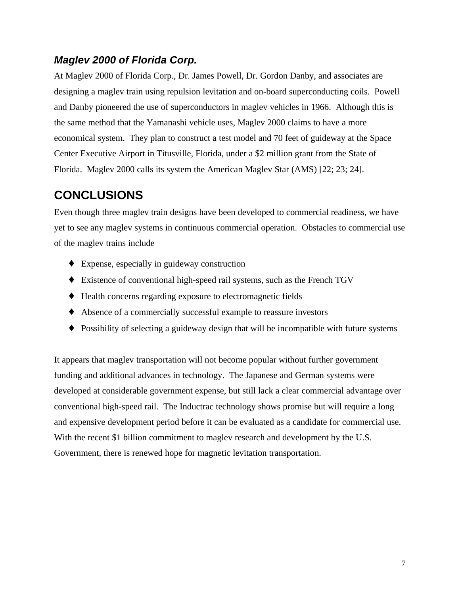#### *Maglev 2000 of Florida Corp.*

At Maglev 2000 of Florida Corp., Dr. James Powell, Dr. Gordon Danby, and associates are designing a maglev train using repulsion levitation and on-board superconducting coils. Powell and Danby pioneered the use of superconductors in maglev vehicles in 1966. Although this is the same method that the Yamanashi vehicle uses, Maglev 2000 claims to have a more economical system. They plan to construct a test model and 70 feet of guideway at the Space Center Executive Airport in Titusville, Florida, under a \$2 million grant from the State of Florida. Maglev 2000 calls its system the American Maglev Star (AMS) [22; 23; 24].

### **CONCLUSIONS**

Even though three maglev train designs have been developed to commercial readiness, we have yet to see any maglev systems in continuous commercial operation. Obstacles to commercial use of the maglev trains include

- ♦ Expense, especially in guideway construction
- ♦ Existence of conventional high-speed rail systems, such as the French TGV
- ♦ Health concerns regarding exposure to electromagnetic fields
- ♦ Absence of a commercially successful example to reassure investors
- ♦ Possibility of selecting a guideway design that will be incompatible with future systems

It appears that maglev transportation will not become popular without further government funding and additional advances in technology. The Japanese and German systems were developed at considerable government expense, but still lack a clear commercial advantage over conventional high-speed rail. The Inductrac technology shows promise but will require a long and expensive development period before it can be evaluated as a candidate for commercial use. With the recent \$1 billion commitment to maglev research and development by the U.S. Government, there is renewed hope for magnetic levitation transportation.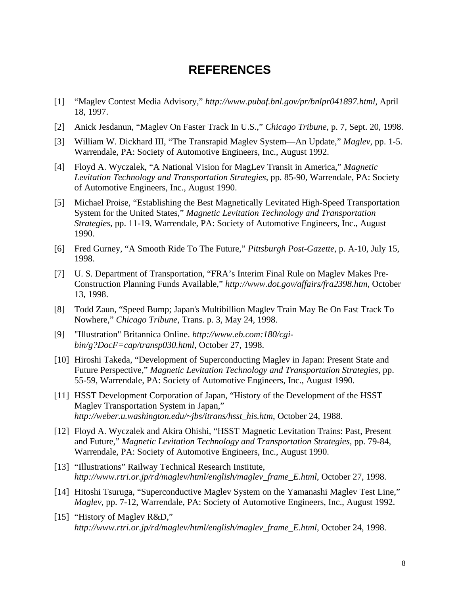#### **REFERENCES**

- [1] "Maglev Contest Media Advisory," *http://www.pubaf.bnl.gov/pr/bnlpr041897.html*, April 18, 1997.
- [2] Anick Jesdanun, "Maglev On Faster Track In U.S.," *Chicago Tribune*, p. 7, Sept. 20, 1998.
- [3] William W. Dickhard III, "The Transrapid Maglev System—An Update," *Maglev*, pp. 1-5. Warrendale, PA: Society of Automotive Engineers, Inc., August 1992.
- [4] Floyd A. Wyczalek, "A National Vision for MagLev Transit in America," *Magnetic Levitation Technology and Transportation Strategies*, pp. 85-90, Warrendale, PA: Society of Automotive Engineers, Inc., August 1990.
- [5] Michael Proise, "Establishing the Best Magnetically Levitated High-Speed Transportation System for the United States," *Magnetic Levitation Technology and Transportation Strategies*, pp. 11-19, Warrendale, PA: Society of Automotive Engineers, Inc., August 1990.
- [6] Fred Gurney, "A Smooth Ride To The Future," *Pittsburgh Post-Gazette*, p. A-10, July 15, 1998.
- [7] U. S. Department of Transportation, "FRA's Interim Final Rule on Maglev Makes Pre-Construction Planning Funds Available," *http://www.dot.gov/affairs/fra2398.htm*, October 13, 1998.
- [8] Todd Zaun, "Speed Bump; Japan's Multibillion Maglev Train May Be On Fast Track To Nowhere," *Chicago Tribune*, Trans. p. 3, May 24, 1998.
- [9] "Illustration" Britannica Online. *http://www.eb.com:180/cgibin/g?DocF=cap/transp030.html*, October 27, 1998.
- [10] Hiroshi Takeda, "Development of Superconducting Maglev in Japan: Present State and Future Perspective," *Magnetic Levitation Technology and Transportation Strategies*, pp. 55-59, Warrendale, PA: Society of Automotive Engineers, Inc., August 1990.
- [11] HSST Development Corporation of Japan, "History of the Development of the HSST Maglev Transportation System in Japan," *http://weber.u.washington.edu/~jbs/itrans/hsst\_his.htm*, October 24, 1988.
- [12] Floyd A. Wyczalek and Akira Ohishi, "HSST Magnetic Levitation Trains: Past, Present and Future," *Magnetic Levitation Technology and Transportation Strategies*, pp. 79-84, Warrendale, PA: Society of Automotive Engineers, Inc., August 1990.
- [13] "Illustrations" Railway Technical Research Institute, *http://www.rtri.or.jp/rd/maglev/html/english/maglev\_frame\_E.html*, October 27, 1998.
- [14] Hitoshi Tsuruga, "Superconductive Maglev System on the Yamanashi Maglev Test Line," *Maglev*, pp. 7-12, Warrendale, PA: Society of Automotive Engineers, Inc., August 1992.
- [15] "History of Maglev R&D," *http://www.rtri.or.jp/rd/maglev/html/english/maglev\_frame\_E.html*, October 24, 1998.